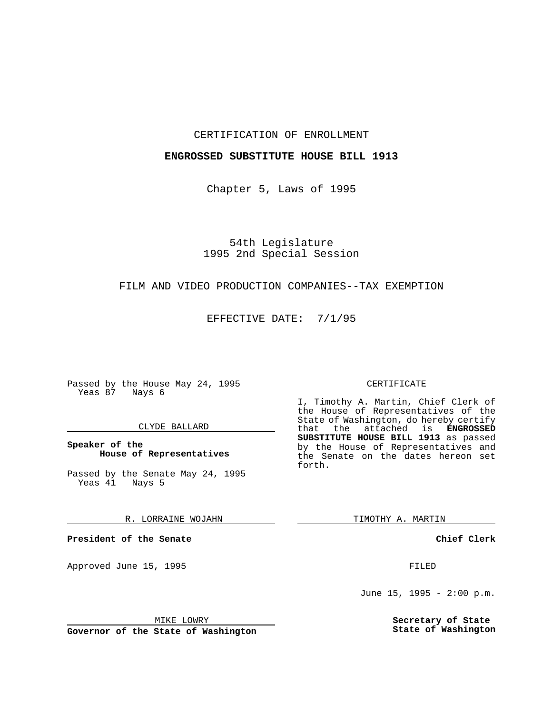### CERTIFICATION OF ENROLLMENT

## **ENGROSSED SUBSTITUTE HOUSE BILL 1913**

Chapter 5, Laws of 1995

# 54th Legislature 1995 2nd Special Session

## FILM AND VIDEO PRODUCTION COMPANIES--TAX EXEMPTION

EFFECTIVE DATE: 7/1/95

Passed by the House May 24, 1995 Yeas 87 Nays 6

### CLYDE BALLARD

# **Speaker of the House of Representatives**

Passed by the Senate May 24, 1995<br>Yeas 41 Nays 5 Yeas 41

#### R. LORRAINE WOJAHN

**President of the Senate**

Approved June 15, 1995 FILED

# MIKE LOWRY

**Governor of the State of Washington**

#### CERTIFICATE

I, Timothy A. Martin, Chief Clerk of the House of Representatives of the State of Washington, do hereby certify that the attached is **ENGROSSED SUBSTITUTE HOUSE BILL 1913** as passed by the House of Representatives and the Senate on the dates hereon set forth.

TIMOTHY A. MARTIN

### **Chief Clerk**

June 15, 1995 - 2:00 p.m.

**Secretary of State State of Washington**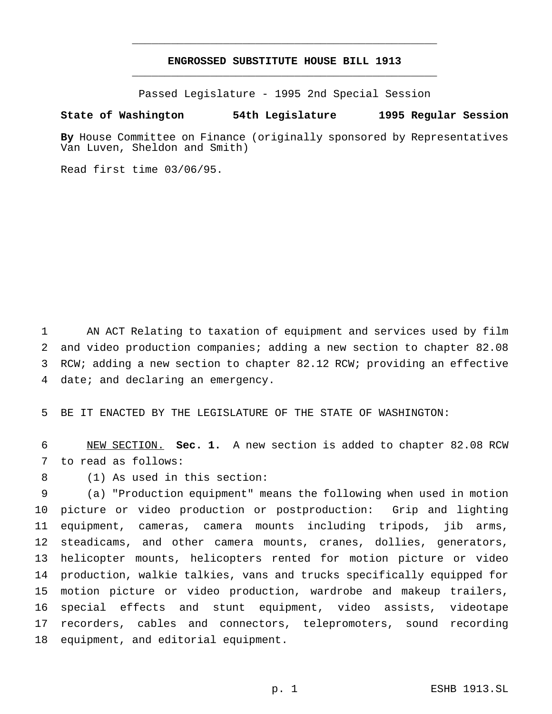# **ENGROSSED SUBSTITUTE HOUSE BILL 1913** \_\_\_\_\_\_\_\_\_\_\_\_\_\_\_\_\_\_\_\_\_\_\_\_\_\_\_\_\_\_\_\_\_\_\_\_\_\_\_\_\_\_\_\_\_\_\_

\_\_\_\_\_\_\_\_\_\_\_\_\_\_\_\_\_\_\_\_\_\_\_\_\_\_\_\_\_\_\_\_\_\_\_\_\_\_\_\_\_\_\_\_\_\_\_

Passed Legislature - 1995 2nd Special Session

## **State of Washington 54th Legislature 1995 Regular Session**

**By** House Committee on Finance (originally sponsored by Representatives Van Luven, Sheldon and Smith)

Read first time 03/06/95.

 AN ACT Relating to taxation of equipment and services used by film and video production companies; adding a new section to chapter 82.08 RCW; adding a new section to chapter 82.12 RCW; providing an effective date; and declaring an emergency.

BE IT ENACTED BY THE LEGISLATURE OF THE STATE OF WASHINGTON:

 NEW SECTION. **Sec. 1.** A new section is added to chapter 82.08 RCW to read as follows:

(1) As used in this section:

 (a) "Production equipment" means the following when used in motion picture or video production or postproduction: Grip and lighting equipment, cameras, camera mounts including tripods, jib arms, steadicams, and other camera mounts, cranes, dollies, generators, helicopter mounts, helicopters rented for motion picture or video production, walkie talkies, vans and trucks specifically equipped for motion picture or video production, wardrobe and makeup trailers, special effects and stunt equipment, video assists, videotape recorders, cables and connectors, telepromoters, sound recording equipment, and editorial equipment.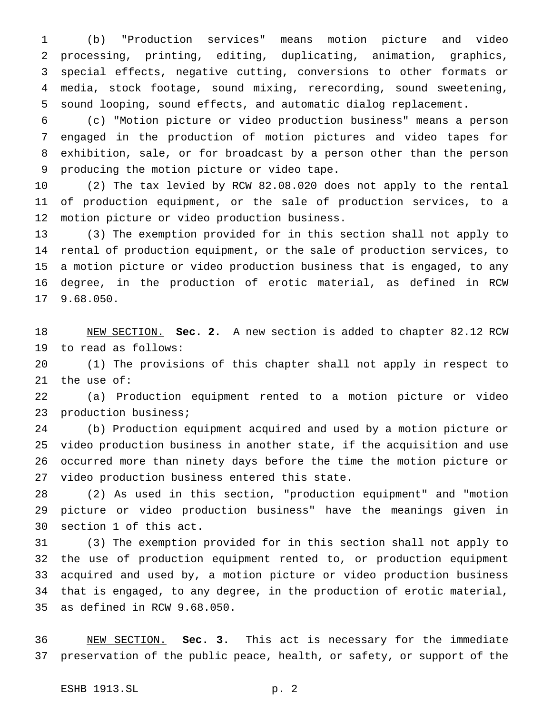(b) "Production services" means motion picture and video processing, printing, editing, duplicating, animation, graphics, special effects, negative cutting, conversions to other formats or media, stock footage, sound mixing, rerecording, sound sweetening, sound looping, sound effects, and automatic dialog replacement.

 (c) "Motion picture or video production business" means a person engaged in the production of motion pictures and video tapes for exhibition, sale, or for broadcast by a person other than the person producing the motion picture or video tape.

 (2) The tax levied by RCW 82.08.020 does not apply to the rental of production equipment, or the sale of production services, to a motion picture or video production business.

 (3) The exemption provided for in this section shall not apply to rental of production equipment, or the sale of production services, to a motion picture or video production business that is engaged, to any degree, in the production of erotic material, as defined in RCW 9.68.050.

 NEW SECTION. **Sec. 2.** A new section is added to chapter 82.12 RCW to read as follows:

 (1) The provisions of this chapter shall not apply in respect to the use of:

 (a) Production equipment rented to a motion picture or video production business;

 (b) Production equipment acquired and used by a motion picture or video production business in another state, if the acquisition and use occurred more than ninety days before the time the motion picture or video production business entered this state.

 (2) As used in this section, "production equipment" and "motion picture or video production business" have the meanings given in section 1 of this act.

 (3) The exemption provided for in this section shall not apply to the use of production equipment rented to, or production equipment acquired and used by, a motion picture or video production business that is engaged, to any degree, in the production of erotic material, as defined in RCW 9.68.050.

 NEW SECTION. **Sec. 3.** This act is necessary for the immediate preservation of the public peace, health, or safety, or support of the